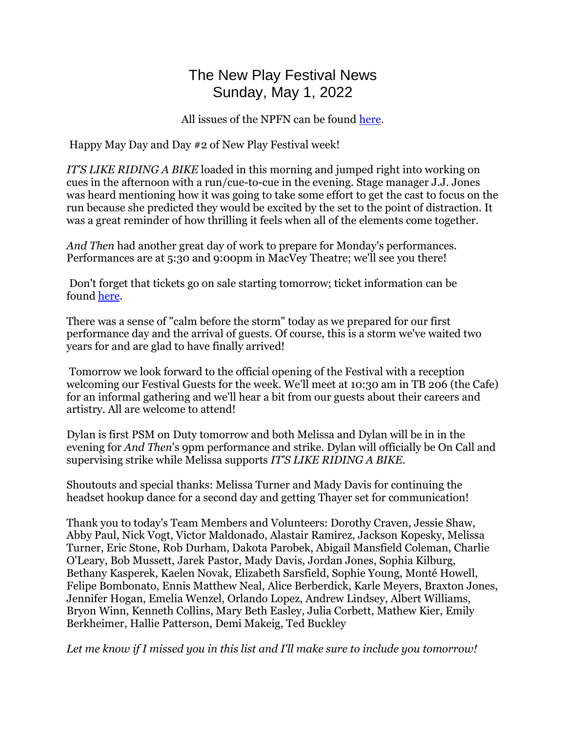## The New Play Festival News Sunday, May 1, 2022

All issues of the NPFN can be found [here.](https://wiki.uiowa.edu/display/theatre/The+New+Play+Festival+News)

Happy May Day and Day #2 of New Play Festival week!

*IT'S LIKE RIDING A BIKE* loaded in this morning and jumped right into working on cues in the afternoon with a run/cue-to-cue in the evening. Stage manager J.J. Jones was heard mentioning how it was going to take some effort to get the cast to focus on the run because she predicted they would be excited by the set to the point of distraction. It was a great reminder of how thrilling it feels when all of the elements come together.

*And Then* had another great day of work to prepare for Monday's performances. Performances are at 5:30 and 9:00pm in MacVey Theatre; we'll see you there!

Don't forget that tickets go on sale starting tomorrow; ticket information can be found [here.](https://theatre.uiowa.edu/production/tickets)

There was a sense of "calm before the storm" today as we prepared for our first performance day and the arrival of guests. Of course, this is a storm we've waited two years for and are glad to have finally arrived!

Tomorrow we look forward to the official opening of the Festival with a reception welcoming our Festival Guests for the week. We'll meet at 10:30 am in TB 206 (the Cafe) for an informal gathering and we'll hear a bit from our guests about their careers and artistry. All are welcome to attend!

Dylan is first PSM on Duty tomorrow and both Melissa and Dylan will be in in the evening for *And Then*'s 9pm performance and strike. Dylan will officially be On Call and supervising strike while Melissa supports *IT'S LIKE RIDING A BIKE*.

Shoutouts and special thanks: Melissa Turner and Mady Davis for continuing the headset hookup dance for a second day and getting Thayer set for communication!

Thank you to today's Team Members and Volunteers: Dorothy Craven, Jessie Shaw, Abby Paul, Nick Vogt, Victor Maldonado, Alastair Ramirez, Jackson Kopesky, Melissa Turner, Eric Stone, Rob Durham, Dakota Parobek, Abigail Mansfield Coleman, Charlie O'Leary, Bob Mussett, Jarek Pastor, Mady Davis, Jordan Jones, Sophia Kilburg, Bethany Kasperek, Kaelen Novak, Elizabeth Sarsfield, Sophie Young, Monté Howell, Felipe Bombonato, Ennis Matthew Neal, Alice Berberdick, Karle Meyers, Braxton Jones, Jennifer Hogan, Emelia Wenzel, Orlando Lopez, Andrew Lindsey, Albert Williams, Bryon Winn, Kenneth Collins, Mary Beth Easley, Julia Corbett, Mathew Kier, Emily Berkheimer, Hallie Patterson, Demi Makeig, Ted Buckley

*Let me know if I missed you in this list and I'll make sure to include you tomorrow!*